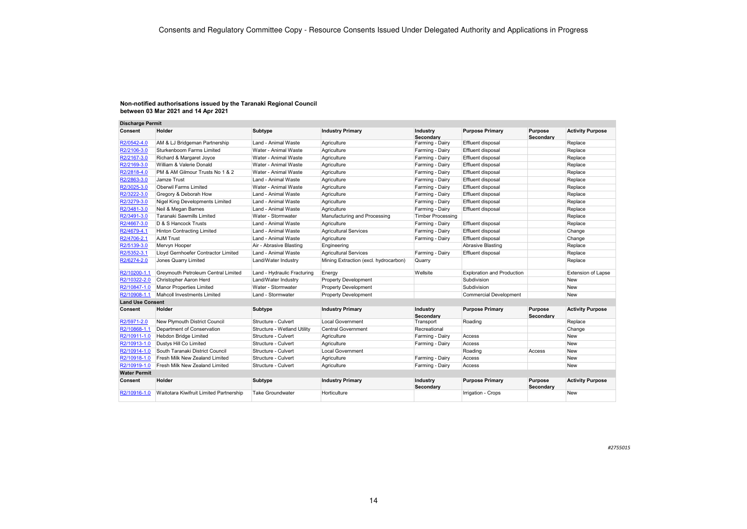| <b>Discharge Permit</b> |                                         |                             |                                       |                          |                                   |                      |                           |
|-------------------------|-----------------------------------------|-----------------------------|---------------------------------------|--------------------------|-----------------------------------|----------------------|---------------------------|
| Consent                 | Holder                                  | Subtype                     | <b>Industry Primary</b>               | Industry<br>Secondarv    | <b>Purpose Primary</b>            | Purpose<br>Secondary | <b>Activity Purpose</b>   |
| R2/0542-4.0             | AM & LJ Bridgeman Partnership           | Land - Animal Waste         | Agriculture                           | Farming - Dairy          | Effluent disposal                 |                      | Replace                   |
| R2/2106-3.0             | Sturkenboom Farms Limited               | Water - Animal Waste        | Agriculture                           | Farming - Dairy          | Effluent disposal                 |                      | Replace                   |
| R2/2167-3.0             | Richard & Margaret Joyce                | Water - Animal Waste        | Agriculture                           | Farming - Dairy          | Effluent disposal                 |                      | Replace                   |
| R2/2169-3.0             | William & Valerie Donald                | Water - Animal Waste        | Agriculture                           | Farming - Dairy          | Effluent disposal                 |                      | Replace                   |
| R2/2818-4.0             | PM & AM Gilmour Trusts No 1 & 2         | Water - Animal Waste        | Agriculture                           | Farming - Dairy          | Effluent disposal                 |                      | Replace                   |
| R2/2863-3.0             | Jamze Trust                             | Land - Animal Waste         | Agriculture                           | Farming - Dairy          | Effluent disposal                 |                      | Replace                   |
| R2/3025-3.0             | Oberwil Farms Limited                   | Water - Animal Waste        | Agriculture                           | Farming - Dairy          | Effluent disposal                 |                      | Replace                   |
| R2/3222-3.0             | Gregory & Deborah How                   | Land - Animal Waste         | Agriculture                           | Farming - Dairy          | Effluent disposal                 |                      | Replace                   |
| R2/3279-3.0             | Nigel King Developments Limited         | Land - Animal Waste         | Agriculture                           | Farming - Dairy          | Effluent disposal                 |                      | Replace                   |
| R2/3481-3.0             | Neil & Megan Barnes                     | Land - Animal Waste         | Agriculture                           | Farming - Dairy          | Effluent disposal                 |                      | Replace                   |
| R2/3491-3.0             | Taranaki Sawmills Limited               | Water - Stormwater          | Manufacturing and Processing          | <b>Timber Processing</b> |                                   |                      | Replace                   |
| R2/4667-3.0             | D & S Hancock Trusts                    | Land - Animal Waste         | Agriculture                           | Farming - Dairy          | Effluent disposal                 |                      | Replace                   |
| R2/4679-4.1             | <b>Hinton Contracting Limited</b>       | Land - Animal Waste         | Agricultural Services                 | Farming - Dairy          | Effluent disposal                 |                      | Change                    |
| R2/4706-2.1             | <b>AJM Trust</b>                        | Land - Animal Waste         | Agriculture                           | Farming - Dairy          | Effluent disposal                 |                      | Change                    |
| R2/5139-3.0             | Mervyn Hooper                           | Air - Abrasive Blasting     | Engineering                           |                          | Abrasive Blasting                 |                      | Replace                   |
| R2/5352-3.1             | Lloyd Gernhoefer Contractor Limited     | Land - Animal Waste         | <b>Agricultural Services</b>          | Farming - Dairy          | Effluent disposal                 |                      | Replace                   |
| R2/6274-2.0             | Jones Quarry Limited                    | Land/Water Industry         | Mining Extraction (excl. hydrocarbon) | Quarry                   |                                   |                      | Replace                   |
| R2/10200-1.1            | Greymouth Petroleum Central Limited     | Land - Hydraulic Fracturing | Energy                                | Wellsite                 | <b>Exploration and Production</b> |                      | <b>Extension of Lapse</b> |
| R2/10322-2.0            | Christopher Aaron Herd                  | Land/Water Industry         | <b>Property Development</b>           |                          | Subdivision                       |                      | <b>New</b>                |
| R2/10847-1.0            | Manor Properties Limited                | Water - Stormwater          | <b>Property Development</b>           |                          | Subdivision                       |                      | New                       |
| R2/10908-1.1            | Mahcoll Investments Limited             | Land - Stormwater           | <b>Property Development</b>           |                          | Commercial Development            |                      | New                       |
| <b>Land Use Consent</b> |                                         |                             |                                       |                          |                                   |                      |                           |
| Consent                 | Holder                                  | Subtype                     | <b>Industry Primary</b>               | Industry<br>Secondarv    | <b>Purpose Primary</b>            | Purpose<br>Secondary | <b>Activity Purpose</b>   |
| R2/5971-2.0             | New Plymouth District Council           | Structure - Culvert         | Local Government                      | Transport                | Roading                           |                      | Replace                   |
| R2/10868-1.1            | Department of Conservation              | Structure - Wetland Utility | <b>Central Government</b>             | Recreational             |                                   |                      | Change                    |
| R2/10911-1.0            | Hebdon Bridge Limited                   | Structure - Culvert         | Agriculture                           | Farming - Dairy          | Access                            |                      | <b>New</b>                |
| R2/10913-1.0            | Dustys Hill Co Limited                  | Structure - Culvert         | Agriculture                           | Farming - Dairy          | Access                            |                      | <b>New</b>                |
| R2/10914-1.0            | South Taranaki District Council         | Structure - Culvert         | <b>Local Government</b>               |                          | Roading                           | Access               | <b>New</b>                |
| R2/10918-1.0            | Fresh Milk New Zealand Limited          | Structure - Culvert         | Agriculture                           | Farming - Dairy          | Access                            |                      | <b>New</b>                |
| R2/10919-1.0            | Fresh Milk New Zealand Limited          | Structure - Culvert         | Agriculture                           | Farming - Dairy          | Access                            |                      | New                       |
| <b>Water Permit</b>     |                                         |                             |                                       |                          |                                   |                      |                           |
| Consent                 | Holder                                  | Subtype                     | <b>Industry Primary</b>               | Industry<br>Secondary    | <b>Purpose Primary</b>            | Purpose<br>Secondary | <b>Activity Purpose</b>   |
| R2/10916-1.0            | Waitotara Kiwifruit Limited Partnership | Take Groundwater            | Horticulture                          |                          | Irrigation - Crops                |                      | New                       |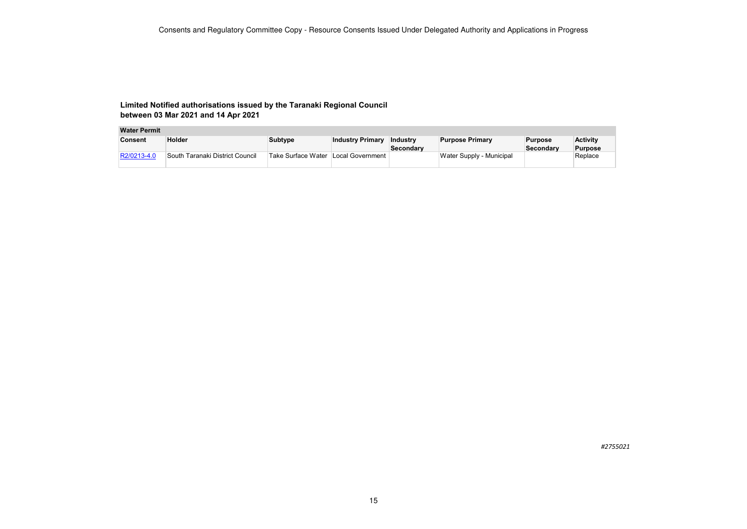### **Water Permit**

| Consent     | Holder                          | Subtype                             | <b>Industry Primary</b> | Industry<br>Secondary | <b>Purpose Primary</b>   | <b>Purpose</b><br>Secondarv | <b>Activity</b><br><b>Purpose</b> |
|-------------|---------------------------------|-------------------------------------|-------------------------|-----------------------|--------------------------|-----------------------------|-----------------------------------|
| R2/0213-4.0 | South Taranaki District Council | Take Surface Water Local Government |                         |                       | Water Supply - Municipal |                             | Replace                           |

*#2755021*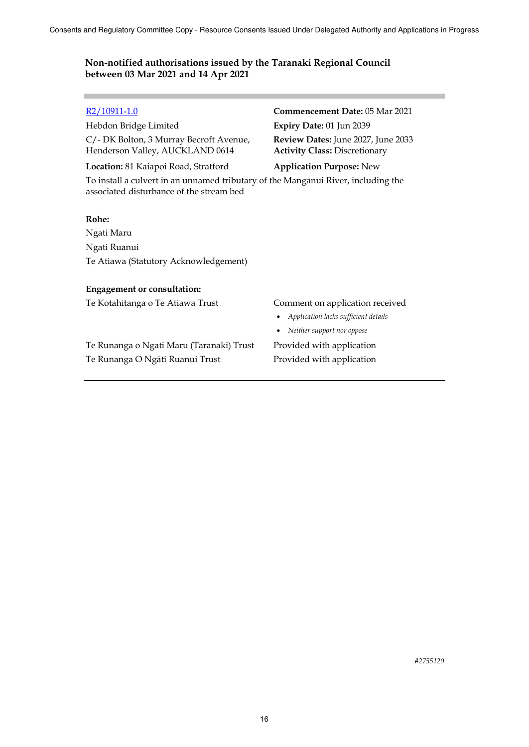Hebdon Bridge Limited **Expiry Date:** 01 Jun 2039 C/- DK Bolton, 3 Murray Becroft Avenue, Henderson Valley, AUCKLAND 0614

**Location:** 81 Kaiapoi Road, Stratford **Application Purpose:** New

# R2/10911-1.0 **Commencement Date:** 05 Mar 2021 **Review Dates:** June 2027, June 2033 **Activity Class:** Discretionary

To install a culvert in an unnamed tributary of the Manganui River, including the associated disturbance of the stream bed

### **Rohe:**

Ngati Maru Ngati Ruanui Te Atiawa (Statutory Acknowledgement)

### **Engagement or consultation:**

Te Kotahitanga o Te Atiawa Trust Comment on application received

Te Runanga o Ngati Maru (Taranaki) Trust Provided with application Te Runanga O Ngāti Ruanui Trust Provided with application

- *Application lacks sufficient details*
- *Neither support nor oppose*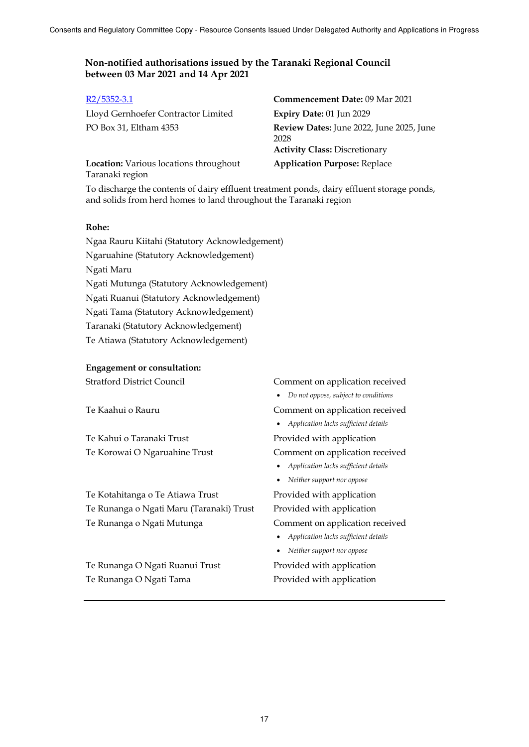| $R2/5352-3.1$                                             | <b>Commencement Date: 09 Mar 2021</b>                                                    |
|-----------------------------------------------------------|------------------------------------------------------------------------------------------|
| Lloyd Gernhoefer Contractor Limited                       | Expiry Date: 01 Jun 2029                                                                 |
| PO Box 31, Eltham 4353                                    | Review Dates: June 2022, June 2025, June<br>2028<br><b>Activity Class: Discretionary</b> |
| Location: Various locations throughout<br>Taranaki region | <b>Application Purpose: Replace</b>                                                      |

To discharge the contents of dairy effluent treatment ponds, dairy effluent storage ponds, and solids from herd homes to land throughout the Taranaki region

## **Rohe:**

Ngaa Rauru Kiitahi (Statutory Acknowledgement) Ngaruahine (Statutory Acknowledgement) Ngati Maru Ngati Mutunga (Statutory Acknowledgement) Ngati Ruanui (Statutory Acknowledgement) Ngati Tama (Statutory Acknowledgement) Taranaki (Statutory Acknowledgement) Te Atiawa (Statutory Acknowledgement)

### **Engagement or consultation:**

Te Kahui o Taranaki Trust Provided with application

Te Kotahitanga o Te Atiawa Trust Provided with application Te Runanga o Ngati Maru (Taranaki) Trust Provided with application Te Runanga o Ngati Mutunga Comment on application received

Te Runanga O Ngāti Ruanui Trust Provided with application Te Runanga O Ngati Tama Provided with application

## Stratford District Council Comment on application received

*Do not oppose, subject to conditions* 

Te Kaahui o Rauru Comment on application received

*Application lacks sufficient details* 

Te Korowai O Ngaruahine Trust Comment on application received

- *Application lacks sufficient details*
- *Neither support nor oppose*

- *Application lacks sufficient details*
- *Neither support nor oppose*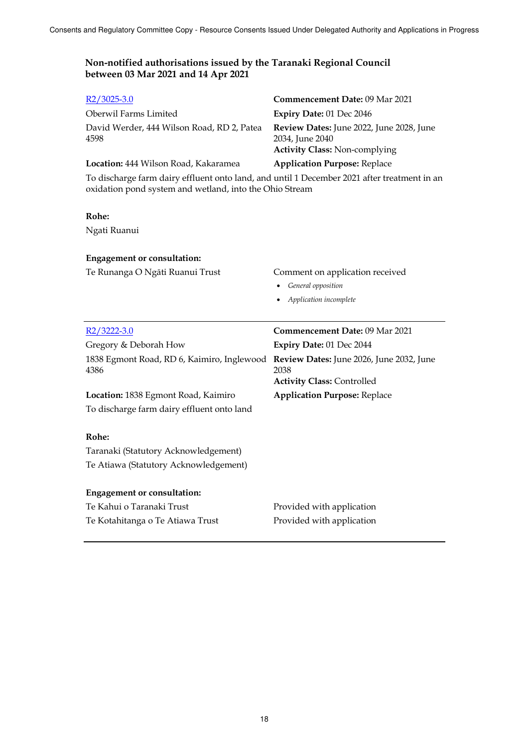| $R2/3025-3.0$                                                                                                                                          | Commencement Date: 09 Mar 2021                                                                      |
|--------------------------------------------------------------------------------------------------------------------------------------------------------|-----------------------------------------------------------------------------------------------------|
| Oberwil Farms Limited                                                                                                                                  | Expiry Date: 01 Dec 2046                                                                            |
| David Werder, 444 Wilson Road, RD 2, Patea<br>4598                                                                                                     | Review Dates: June 2022, June 2028, June<br>2034, June 2040<br><b>Activity Class: Non-complying</b> |
| Location: 444 Wilson Road, Kakaramea                                                                                                                   | <b>Application Purpose: Replace</b>                                                                 |
| To discharge farm dairy effluent onto land, and until 1 December 2021 after treatment in an<br>oxidation pond system and wetland, into the Ohio Stream |                                                                                                     |
| Rohe:                                                                                                                                                  |                                                                                                     |
| Ngati Ruanui                                                                                                                                           |                                                                                                     |
| <b>Engagement or consultation:</b>                                                                                                                     |                                                                                                     |
| Te Runanga O Ngāti Ruanui Trust                                                                                                                        | Comment on application received                                                                     |
|                                                                                                                                                        | General opposition                                                                                  |
|                                                                                                                                                        | Application incomplete                                                                              |
|                                                                                                                                                        |                                                                                                     |
| $R2/3222-3.0$                                                                                                                                          | <b>Commencement Date: 09 Mar 2021</b>                                                               |
| Gregory & Deborah How                                                                                                                                  | Expiry Date: 01 Dec 2044                                                                            |
| 1838 Egmont Road, RD 6, Kaimiro, Inglewood<br>4386                                                                                                     | Review Dates: June 2026, June 2032, June<br>2038                                                    |
|                                                                                                                                                        | <b>Activity Class: Controlled</b>                                                                   |
| Location: 1838 Egmont Road, Kaimiro<br>To discharge farm dairy effluent onto land                                                                      | <b>Application Purpose: Replace</b>                                                                 |
| Rohe:                                                                                                                                                  |                                                                                                     |
| Taranaki (Statutory Acknowledgement)                                                                                                                   |                                                                                                     |
| Te Atiawa (Statutory Acknowledgement)                                                                                                                  |                                                                                                     |
| <b>Engagement or consultation:</b>                                                                                                                     |                                                                                                     |
| Te Kahui o Taranaki Trust                                                                                                                              | Provided with application                                                                           |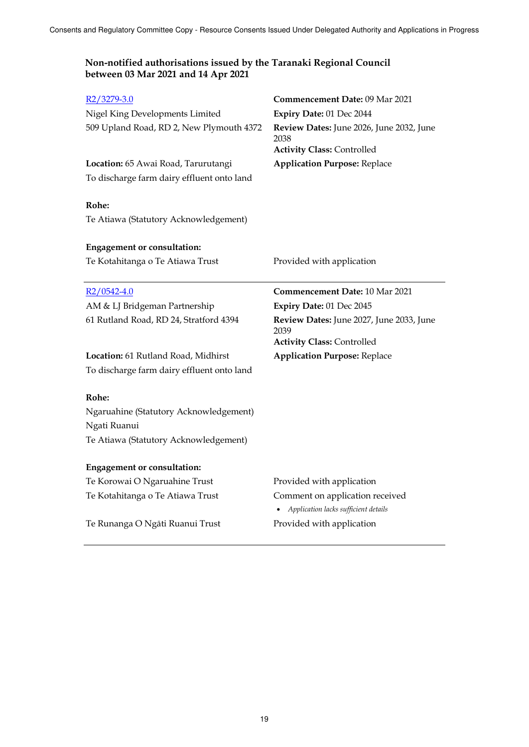| R <sub>2</sub> /3279-3.0                   | Commencement Date: 09 Mar 2021                                                        |
|--------------------------------------------|---------------------------------------------------------------------------------------|
| Nigel King Developments Limited            | Expiry Date: 01 Dec 2044                                                              |
| 509 Upland Road, RD 2, New Plymouth 4372   | Review Dates: June 2026, June 2032, June<br>2038<br><b>Activity Class: Controlled</b> |
| Location: 65 Awai Road, Tarurutangi        | <b>Application Purpose: Replace</b>                                                   |
| To discharge farm dairy effluent onto land |                                                                                       |
|                                            |                                                                                       |
| Rohe:                                      |                                                                                       |
| Te Atiawa (Statutory Acknowledgement)      |                                                                                       |
|                                            |                                                                                       |
| <b>Engagement or consultation:</b>         |                                                                                       |
| Te Kotahitanga o Te Atiawa Trust           | Provided with application                                                             |
|                                            |                                                                                       |
| $R2/0542-4.0$                              | Commencement Date: 10 Mar 2021                                                        |
| AM & LJ Bridgeman Partnership              | Expiry Date: 01 Dec 2045                                                              |
|                                            |                                                                                       |
| 61 Rutland Road, RD 24, Stratford 4394     | Review Dates: June 2027, June 2033, June                                              |
|                                            | 2039                                                                                  |
|                                            | <b>Activity Class: Controlled</b>                                                     |
| Location: 61 Rutland Road, Midhirst        | <b>Application Purpose: Replace</b>                                                   |
| To discharge farm dairy effluent onto land |                                                                                       |
|                                            |                                                                                       |
| Rohe:                                      |                                                                                       |
| Ngaruahine (Statutory Acknowledgement)     |                                                                                       |
| Ngati Ruanui                               |                                                                                       |
| Te Atiawa (Statutory Acknowledgement)      |                                                                                       |
| <b>Engagement or consultation:</b>         |                                                                                       |
| Te Korowai O Ngaruahine Trust              | Provided with application                                                             |
| Te Kotahitanga o Te Atiawa Trust           | Comment on application received                                                       |
|                                            | • Application lacks sufficient details                                                |
| Te Runanga O Ngāti Ruanui Trust            | Provided with application                                                             |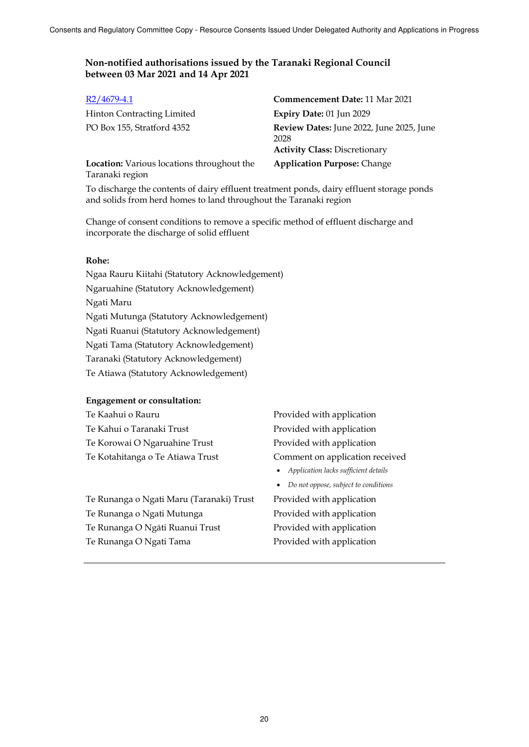| $R2/4679-4.1$                                                        | <b>Commencement Date: 11 Mar 2021</b>                                                    |
|----------------------------------------------------------------------|------------------------------------------------------------------------------------------|
| <b>Hinton Contracting Limited</b>                                    | Expiry Date: 01 Jun 2029                                                                 |
| PO Box 155, Stratford 4352                                           | Review Dates: June 2022, June 2025, June<br>2028<br><b>Activity Class: Discretionary</b> |
| <b>Location:</b> Various locations throughout the<br>Taranaki region | <b>Application Purpose: Change</b>                                                       |

To discharge the contents of dairy effluent treatment ponds, dairy effluent storage ponds and solids from herd homes to land throughout the Taranaki region

Change of consent conditions to remove a specific method of effluent discharge and incorporate the discharge of solid effluent

### **Rohe:**

Ngaa Rauru Kiitahi (Statutory Acknowledgement) Ngaruahine (Statutory Acknowledgement) Ngati Maru Ngati Mutunga (Statutory Acknowledgement) Ngati Ruanui (Statutory Acknowledgement) Ngati Tama (Statutory Acknowledgement) Taranaki (Statutory Acknowledgement) Te Atiawa (Statutory Acknowledgement)

### **Engagement or consultation:**

| Te Kaahui o Rauru                        | Pr |
|------------------------------------------|----|
| Te Kahui o Taranaki Trust                | Pr |
| Te Korowai O Ngaruahine Trust            | Pr |
| Te Kotahitanga o Te Atiawa Trust         | Cc |
|                                          |    |
|                                          |    |
| Te Runanga o Ngati Maru (Taranaki) Trust | Pr |
|                                          |    |

- Te Runanga o Ngati Mutunga **Provided with application**
- Te Runanga O Ngāti Ruanui Trust Provided with application
- 

rovided with application ovided with application rovided with application omment on application received *Application lacks sufficient details* 

*Do not oppose, subject to conditions* 

ovided with application Te Runanga O Ngati Tama<br>
Provided with application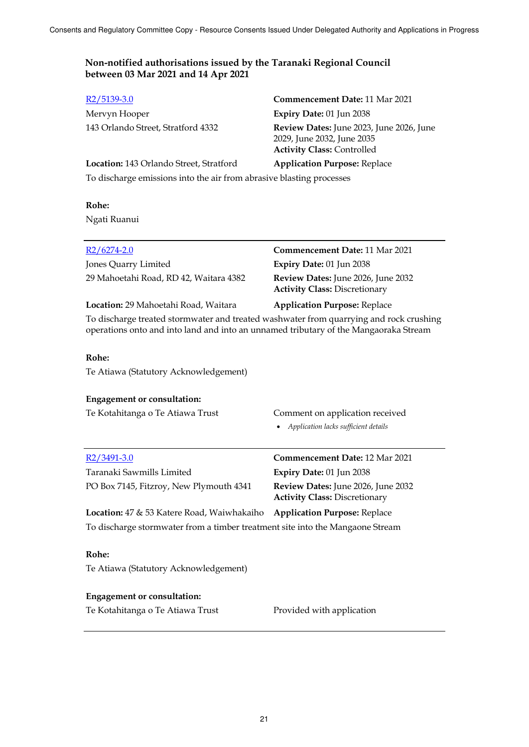| $R2/5139-3.0$                                                        | <b>Commencement Date: 11 Mar 2021</b>                                                                       |  |
|----------------------------------------------------------------------|-------------------------------------------------------------------------------------------------------------|--|
| Mervyn Hooper                                                        | Expiry Date: 01 Jun 2038                                                                                    |  |
| 143 Orlando Street, Stratford 4332                                   | Review Dates: June 2023, June 2026, June<br>2029, June 2032, June 2035<br><b>Activity Class: Controlled</b> |  |
| Location: 143 Orlando Street, Stratford                              | <b>Application Purpose: Replace</b>                                                                         |  |
| To discharge emissions into the air from abrasive blasting processes |                                                                                                             |  |

## **Rohe:**

Ngati Ruanui

| $R2/6274-2.0$                          | <b>Commencement Date: 11 Mar 2021</b>                                             |
|----------------------------------------|-----------------------------------------------------------------------------------|
| Jones Quarry Limited                   | Expiry Date: 01 Jun 2038                                                          |
| 29 Mahoetahi Road, RD 42, Waitara 4382 | <b>Review Dates:</b> June 2026, June 2032<br><b>Activity Class: Discretionary</b> |
| Location: 29 Mahoetahi Road, Waitara   | <b>Application Purpose: Replace</b>                                               |
|                                        |                                                                                   |

To discharge treated stormwater and treated washwater from quarrying and rock crushing operations onto and into land and into an unnamed tributary of the Mangaoraka Stream

## **Rohe:**

Te Atiawa (Statutory Acknowledgement)

| <b>Engagement or consultation:</b><br>Te Kotahitanga o Te Atiawa Trust        | Comment on application received<br>Application lacks sufficient details           |
|-------------------------------------------------------------------------------|-----------------------------------------------------------------------------------|
| R <sub>2</sub> /3491-3.0                                                      | <b>Commencement Date: 12 Mar 2021</b>                                             |
| Taranaki Sawmills Limited                                                     | <b>Expiry Date: 01 Jun 2038</b>                                                   |
| PO Box 7145, Fitzroy, New Plymouth 4341                                       | <b>Review Dates:</b> June 2026, June 2032<br><b>Activity Class: Discretionary</b> |
| <b>Location:</b> 47 & 53 Katere Road, Waiwhakaiho                             | <b>Application Purpose: Replace</b>                                               |
| To discharge stormwater from a timber treatment site into the Mangaone Stream |                                                                                   |
| Rohe:                                                                         |                                                                                   |

Te Atiawa (Statutory Acknowledgement)

## **Engagement or consultation:**

| Te Kotahitanga o Te Atiawa Trust | Provided with application |
|----------------------------------|---------------------------|
|----------------------------------|---------------------------|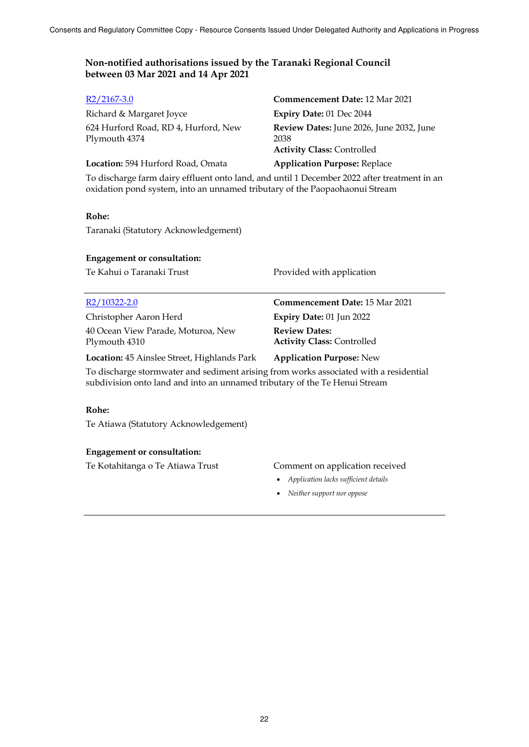| $R2/2167-3.0$                                         | <b>Commencement Date: 12 Mar 2021</b>                                                 |
|-------------------------------------------------------|---------------------------------------------------------------------------------------|
| Richard & Margaret Joyce                              | Expiry Date: 01 Dec 2044                                                              |
| 624 Hurford Road, RD 4, Hurford, New<br>Plymouth 4374 | Review Dates: June 2026, June 2032, June<br>2038<br><b>Activity Class: Controlled</b> |
| Location: 594 Hurford Road, Omata                     | <b>Application Purpose: Replace</b>                                                   |

To discharge farm dairy effluent onto land, and until 1 December 2022 after treatment in an oxidation pond system, into an unnamed tributary of the Paopaohaonui Stream

## **Rohe:**

Taranaki (Statutory Acknowledgement)

### **Engagement or consultation:**

Te Kahui o Taranaki Trust Provided with application

### R2/10322-2.0 **Commencement Date:** 15 Mar 2021

Christopher Aaron Herd **Expiry Date:** 01 Jun 2022 40 Ocean View Parade, Moturoa, New Plymouth 4310

**Review Dates: Activity Class:** Controlled

**Location:** 45 Ainslee Street, Highlands Park **Application Purpose:** New

To discharge stormwater and sediment arising from works associated with a residential subdivision onto land and into an unnamed tributary of the Te Henui Stream

### **Rohe:**

Te Atiawa (Statutory Acknowledgement)

### **Engagement or consultation:**

Te Kotahitanga o Te Atiawa Trust Comment on application received

- *Application lacks sufficient details*
- *Neither support nor oppose*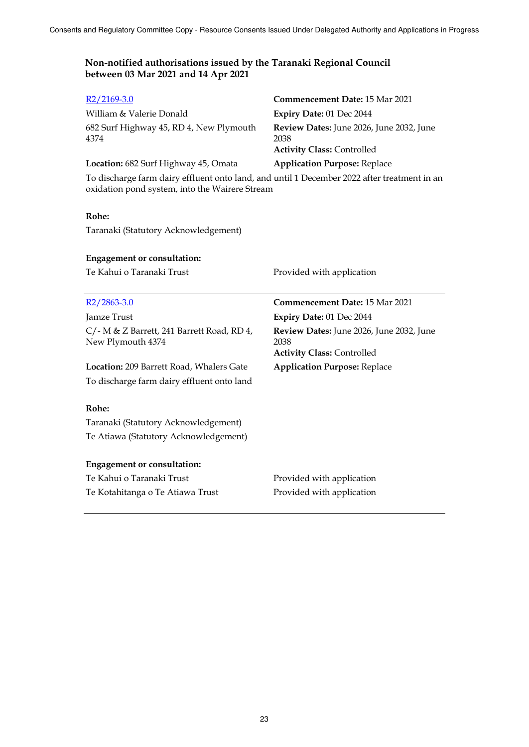| $R2/2169-3.0$                                                                                                                                 | <b>Commencement Date: 15 Mar 2021</b>                                                 |  |
|-----------------------------------------------------------------------------------------------------------------------------------------------|---------------------------------------------------------------------------------------|--|
| William & Valerie Donald                                                                                                                      | Expiry Date: 01 Dec 2044                                                              |  |
| 682 Surf Highway 45, RD 4, New Plymouth<br>4374                                                                                               | Review Dates: June 2026, June 2032, June<br>2038<br><b>Activity Class: Controlled</b> |  |
| Location: 682 Surf Highway 45, Omata                                                                                                          | <b>Application Purpose: Replace</b>                                                   |  |
| To discharge farm dairy effluent onto land, and until 1 December 2022 after treatment in an<br>oxidation pond system, into the Wairere Stream |                                                                                       |  |

## **Rohe:**

Taranaki (Statutory Acknowledgement)

## **Engagement or consultation:**

Te Kahui o Taranaki Trust **Provided with application** 

| $R2/2863-3.0$                                                      | <b>Commencement Date: 15 Mar 2021</b>                   |
|--------------------------------------------------------------------|---------------------------------------------------------|
| Jamze Trust                                                        | Expiry Date: 01 Dec 2044                                |
| $C$ /- M & Z Barrett, 241 Barrett Road, RD 4,<br>New Plymouth 4374 | <b>Review Dates:</b> June 2026, June 2032, June<br>2038 |
|                                                                    | <b>Activity Class: Controlled</b>                       |
| <b>Location: 209 Barrett Road, Whalers Gate</b>                    | <b>Application Purpose: Replace</b>                     |
| To discharge farm dairy effluent onto land                         |                                                         |
|                                                                    |                                                         |
| Rohe:                                                              |                                                         |
| Taranaki (Statutory Acknowledgement)                               |                                                         |
| Te Atiawa (Statutory Acknowledgement)                              |                                                         |
|                                                                    |                                                         |
| <b>Engagement or consultation:</b>                                 |                                                         |
| Te Kahui o Taranaki Trust                                          | Provided with application                               |
| Te Kotahitanga o Te Atiawa Trust                                   | Provided with application                               |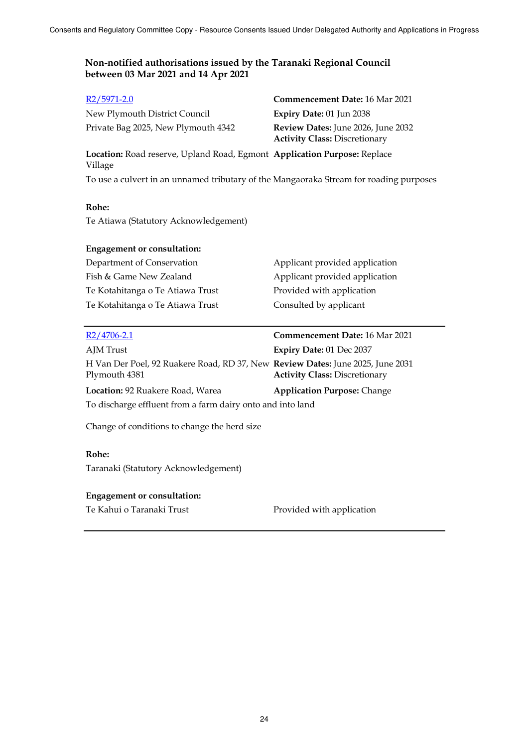| $R2/5971-2.0$                                                                                   | Commencement Date: 16 Mar 2021                                             |  |  |
|-------------------------------------------------------------------------------------------------|----------------------------------------------------------------------------|--|--|
| New Plymouth District Council                                                                   | Expiry Date: 01 Jun 2038                                                   |  |  |
| Private Bag 2025, New Plymouth 4342                                                             | Review Dates: June 2026, June 2032<br><b>Activity Class: Discretionary</b> |  |  |
| Location: Road reserve, Upland Road, Egmont Application Purpose: Replace<br>Village             |                                                                            |  |  |
| To use a culvert in an unnamed tributary of the Mangaoraka Stream for roading purposes          |                                                                            |  |  |
| Rohe:                                                                                           |                                                                            |  |  |
| Te Atiawa (Statutory Acknowledgement)                                                           |                                                                            |  |  |
| <b>Engagement or consultation:</b>                                                              |                                                                            |  |  |
| Department of Conservation                                                                      | Applicant provided application                                             |  |  |
| Fish & Game New Zealand                                                                         | Applicant provided application                                             |  |  |
| Te Kotahitanga o Te Atiawa Trust                                                                | Provided with application                                                  |  |  |
| Te Kotahitanga o Te Atiawa Trust                                                                | Consulted by applicant                                                     |  |  |
|                                                                                                 |                                                                            |  |  |
| $R2/4706 - 2.1$                                                                                 | <b>Commencement Date: 16 Mar 2021</b>                                      |  |  |
| AJM Trust                                                                                       | Expiry Date: 01 Dec 2037                                                   |  |  |
| H Van Der Poel, 92 Ruakere Road, RD 37, New Review Dates: June 2025, June 2031<br>Plymouth 4381 | <b>Activity Class: Discretionary</b>                                       |  |  |
| Location: 92 Ruakere Road, Warea                                                                | <b>Application Purpose: Change</b>                                         |  |  |
| To discharge effluent from a farm dairy onto and into land                                      |                                                                            |  |  |
| Change of conditions to change the herd size                                                    |                                                                            |  |  |
| Rohe:                                                                                           |                                                                            |  |  |
| Taranaki (Statutory Acknowledgement)                                                            |                                                                            |  |  |
| <b>Engagement or consultation:</b>                                                              |                                                                            |  |  |

Te Kahui o Taranaki Trust **Provided with application**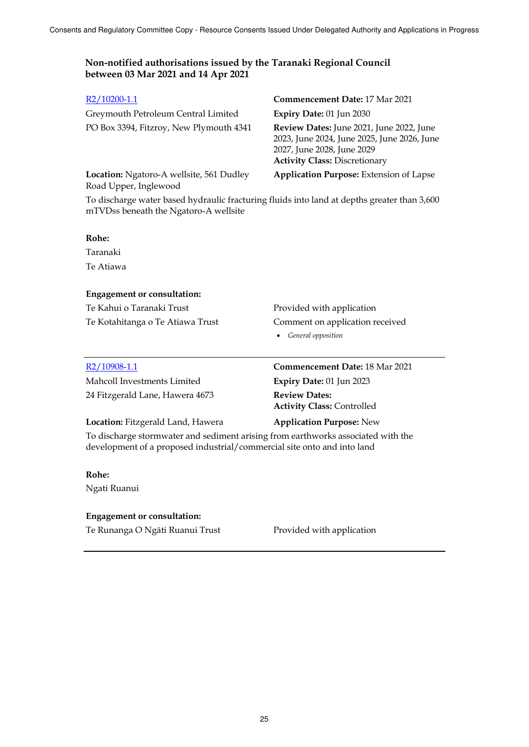## R2/10200-1.1 **Commencement Date:** 17 Mar 2021 Greymouth Petroleum Central Limited **Expiry Date:** 01 Jun 2030 PO Box 3394, Fitzroy, New Plymouth 4341 **Review Dates:** June 2021, June 2022, June 2023, June 2024, June 2025, June 2026, June 2027, June 2028, June 2029 **Activity Class:** Discretionary

**Application Purpose:** Extension of Lapse

**Location:** Ngatoro-A wellsite, 561 Dudley Road Upper, Inglewood

To discharge water based hydraulic fracturing fluids into land at depths greater than 3,600 mTVDss beneath the Ngatoro-A wellsite

### **Rohe:**

Taranaki Te Atiawa

## **Engagement or consultation:**

Te Kahui o Taranaki Trust **Provided with application** 

Te Kotahitanga o Te Atiawa Trust Comment on application received

*General opposition* 

| R2/10908-1.1                      | <b>Commencement Date: 18 Mar 2021</b>                     |
|-----------------------------------|-----------------------------------------------------------|
| Mahcoll Investments Limited       | Expiry Date: 01 Jun 2023                                  |
| 24 Fitzgerald Lane, Hawera 4673   | <b>Review Dates:</b><br><b>Activity Class: Controlled</b> |
| Location: Fitzgerald Land, Hawera | <b>Application Purpose: New</b>                           |

To discharge stormwater and sediment arising from earthworks associated with the development of a proposed industrial/commercial site onto and into land

### **Rohe:**

Ngati Ruanui

## **Engagement or consultation:**

Te Runanga O Ngāti Ruanui Trust Provided with application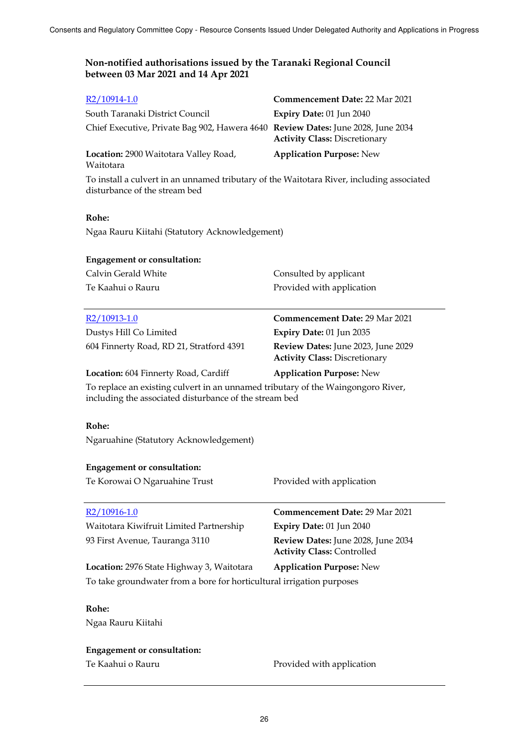| $R2/10914-1.0$                                                                                                                             | <b>Commencement Date: 22 Mar 2021</b>                                      |  |
|--------------------------------------------------------------------------------------------------------------------------------------------|----------------------------------------------------------------------------|--|
| South Taranaki District Council                                                                                                            | Expiry Date: 01 Jun 2040                                                   |  |
| Chief Executive, Private Bag 902, Hawera 4640 Review Dates: June 2028, June 2034                                                           | <b>Activity Class: Discretionary</b>                                       |  |
| Location: 2900 Waitotara Valley Road,<br>Waitotara                                                                                         | <b>Application Purpose: New</b>                                            |  |
| To install a culvert in an unnamed tributary of the Waitotara River, including associated<br>disturbance of the stream bed                 |                                                                            |  |
| Rohe:                                                                                                                                      |                                                                            |  |
| Ngaa Rauru Kiitahi (Statutory Acknowledgement)                                                                                             |                                                                            |  |
| <b>Engagement or consultation:</b>                                                                                                         |                                                                            |  |
| Calvin Gerald White                                                                                                                        | Consulted by applicant                                                     |  |
| Te Kaahui o Rauru                                                                                                                          | Provided with application                                                  |  |
| R <sub>2</sub> /10913-1.0                                                                                                                  | <b>Commencement Date: 29 Mar 2021</b>                                      |  |
| Dustys Hill Co Limited                                                                                                                     | Expiry Date: 01 Jun 2035                                                   |  |
| 604 Finnerty Road, RD 21, Stratford 4391                                                                                                   | Review Dates: June 2023, June 2029<br><b>Activity Class: Discretionary</b> |  |
| Location: 604 Finnerty Road, Cardiff                                                                                                       | <b>Application Purpose: New</b>                                            |  |
| To replace an existing culvert in an unnamed tributary of the Waingongoro River,<br>including the associated disturbance of the stream bed |                                                                            |  |
| Rohe:                                                                                                                                      |                                                                            |  |
| Ngaruahine (Statutory Acknowledgement)                                                                                                     |                                                                            |  |
| <b>Engagement or consultation:</b>                                                                                                         |                                                                            |  |
| Te Korowai O Ngaruahine Trust                                                                                                              | Provided with application                                                  |  |
| R <sub>2</sub> /10916-1.0                                                                                                                  | Commencement Date: 29 Mar 2021                                             |  |
| Waitotara Kiwifruit Limited Partnership                                                                                                    | Expiry Date: 01 Jun 2040                                                   |  |
| 93 First Avenue, Tauranga 3110                                                                                                             | Review Dates: June 2028, June 2034<br><b>Activity Class: Controlled</b>    |  |
| Location: 2976 State Highway 3, Waitotara                                                                                                  | <b>Application Purpose: New</b>                                            |  |
| To take groundwater from a bore for horticultural irrigation purposes                                                                      |                                                                            |  |
| Rohe:                                                                                                                                      |                                                                            |  |
| Ngaa Rauru Kiitahi                                                                                                                         |                                                                            |  |

**Engagement or consultation:**

Te Kaahui o Rauru **Provided with application**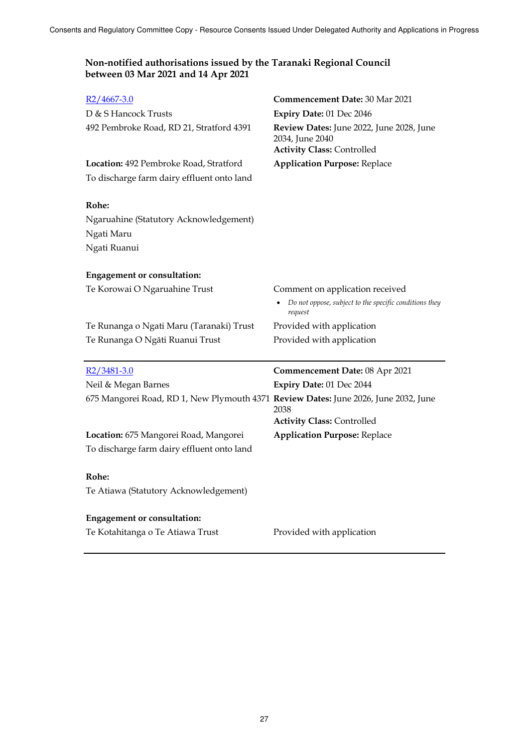| $R2/4667-3.0$<br>D & S Hancock Trusts<br>492 Pembroke Road, RD 21, Stratford 4391    | <b>Commencement Date: 30 Mar 2021</b><br>Expiry Date: 01 Dec 2046<br>Review Dates: June 2022, June 2028, June<br>2034, June 2040<br><b>Activity Class: Controlled</b> |
|--------------------------------------------------------------------------------------|-----------------------------------------------------------------------------------------------------------------------------------------------------------------------|
| Location: 492 Pembroke Road, Stratford<br>To discharge farm dairy effluent onto land | <b>Application Purpose: Replace</b>                                                                                                                                   |
| Rohe:<br>Ngaruahine (Statutory Acknowledgement)<br>Ngati Maru<br>Ngati Ruanui        |                                                                                                                                                                       |
| <b>Engagement or consultation:</b>                                                   |                                                                                                                                                                       |
| Te Korowai O Ngaruahine Trust                                                        | Comment on application received<br>Do not oppose, subject to the specific conditions they<br>request                                                                  |
| Te Runanga o Ngati Maru (Taranaki) Trust                                             | Provided with application                                                                                                                                             |
| Te Runanga O Ngāti Ruanui Trust                                                      | Provided with application                                                                                                                                             |
| $R2/3481-3.0$                                                                        | <b>Commencement Date: 08 Apr 2021</b>                                                                                                                                 |
| Neil & Megan Barnes                                                                  | Expiry Date: 01 Dec 2044                                                                                                                                              |
| 675 Mangorei Road, RD 1, New Plymouth 4371 Review Dates: June 2026, June 2032, June  | 2038<br><b>Activity Class: Controlled</b>                                                                                                                             |
| Location: 675 Mangorei Road, Mangorei                                                | <b>Application Purpose: Replace</b>                                                                                                                                   |
| To discharge farm dairy effluent onto land                                           |                                                                                                                                                                       |
| Rohe:                                                                                |                                                                                                                                                                       |
| Te Atiawa (Statutory Acknowledgement)                                                |                                                                                                                                                                       |
| <b>Engagement or consultation:</b>                                                   |                                                                                                                                                                       |
| Te Kotahitanga o Te Atiawa Trust                                                     | Provided with application                                                                                                                                             |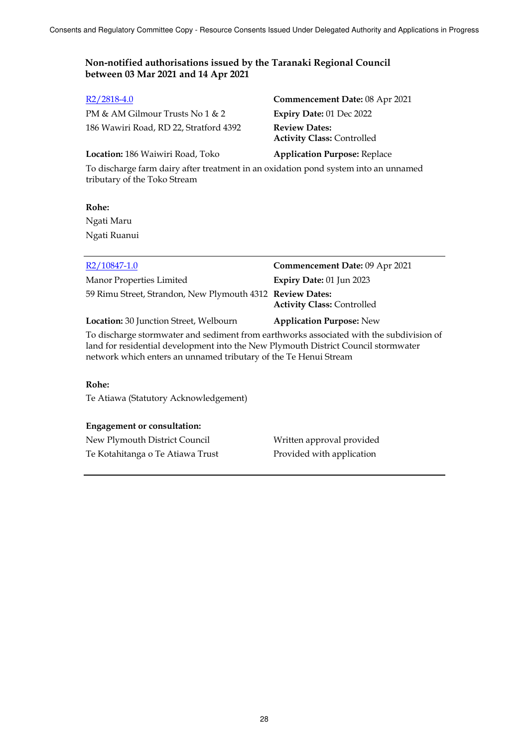| $R2/2818-4.0$                          | Commencement Date: 08 Apr 2021                            |
|----------------------------------------|-----------------------------------------------------------|
| PM & AM Gilmour Trusts No $1 \& 2$     | Expiry Date: 01 Dec 2022                                  |
| 186 Wawiri Road, RD 22, Stratford 4392 | <b>Review Dates:</b><br><b>Activity Class: Controlled</b> |
| Location: 186 Waiwiri Road, Toko       | <b>Application Purpose: Replace</b>                       |

To discharge farm dairy after treatment in an oxidation pond system into an unnamed tributary of the Toko Stream

**Rohe:** Ngati Maru Ngati Ruanui

| R2/10847-1.0                                              | Commencement Date: 09 Apr 2021    |
|-----------------------------------------------------------|-----------------------------------|
| Manor Properties Limited                                  | Expiry Date: 01 Jun 2023          |
| 59 Rimu Street, Strandon, New Plymouth 4312 Review Dates: | <b>Activity Class: Controlled</b> |
| Location: 30 Junction Street, Welbourn                    | <b>Application Purpose: New</b>   |

To discharge stormwater and sediment from earthworks associated with the subdivision of land for residential development into the New Plymouth District Council stormwater network which enters an unnamed tributary of the Te Henui Stream

## **Rohe:**

Te Atiawa (Statutory Acknowledgement)

## **Engagement or consultation:**

New Plymouth District Council Written approval provided Te Kotahitanga o Te Atiawa Trust Provided with application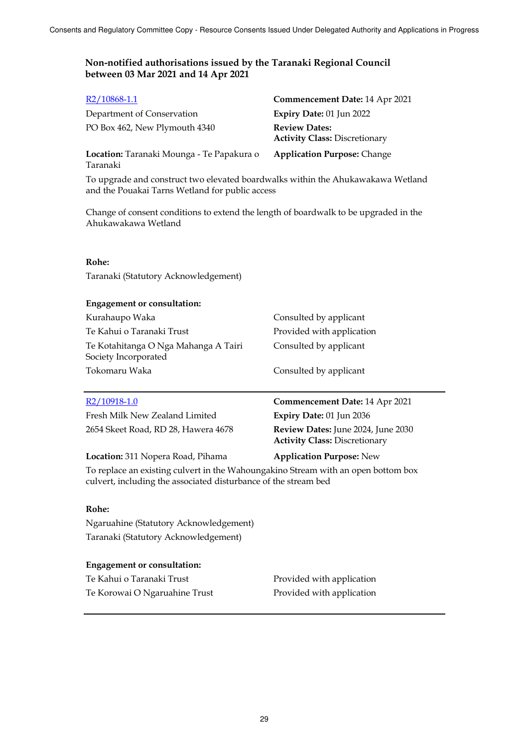| $R2/10868-1.1$                                                                                                                                       | Commencement Date: 14 Apr 2021                                             |  |  |
|------------------------------------------------------------------------------------------------------------------------------------------------------|----------------------------------------------------------------------------|--|--|
| Department of Conservation                                                                                                                           | Expiry Date: 01 Jun 2022                                                   |  |  |
| PO Box 462, New Plymouth 4340                                                                                                                        | <b>Review Dates:</b><br><b>Activity Class: Discretionary</b>               |  |  |
| Location: Taranaki Mounga - Te Papakura o<br>Taranaki                                                                                                | <b>Application Purpose: Change</b>                                         |  |  |
| To upgrade and construct two elevated boardwalks within the Ahukawakawa Wetland<br>and the Pouakai Tarns Wetland for public access                   |                                                                            |  |  |
| Change of consent conditions to extend the length of boardwalk to be upgraded in the<br>Ahukawakawa Wetland                                          |                                                                            |  |  |
| Rohe:                                                                                                                                                |                                                                            |  |  |
| Taranaki (Statutory Acknowledgement)                                                                                                                 |                                                                            |  |  |
| <b>Engagement or consultation:</b>                                                                                                                   |                                                                            |  |  |
| Kurahaupo Waka                                                                                                                                       | Consulted by applicant                                                     |  |  |
| Te Kahui o Taranaki Trust                                                                                                                            | Provided with application                                                  |  |  |
| Te Kotahitanga O Nga Mahanga A Tairi<br>Society Incorporated                                                                                         | Consulted by applicant                                                     |  |  |
| Tokomaru Waka                                                                                                                                        | Consulted by applicant                                                     |  |  |
| $R2/10918-1.0$                                                                                                                                       | Commencement Date: 14 Apr 2021                                             |  |  |
| Fresh Milk New Zealand Limited                                                                                                                       | Expiry Date: 01 Jun 2036                                                   |  |  |
| 2654 Skeet Road, RD 28, Hawera 4678                                                                                                                  | Review Dates: June 2024, June 2030<br><b>Activity Class: Discretionary</b> |  |  |
| Location: 311 Nopera Road, Pihama                                                                                                                    | <b>Application Purpose: New</b>                                            |  |  |
| To replace an existing culvert in the Wahoungakino Stream with an open bottom box<br>culvert, including the associated disturbance of the stream bed |                                                                            |  |  |
| Rohe:                                                                                                                                                |                                                                            |  |  |
| Ngaruahine (Statutory Acknowledgement)                                                                                                               |                                                                            |  |  |
| Taranaki (Statutory Acknowledgement)                                                                                                                 |                                                                            |  |  |
| <b>Engagement or consultation:</b>                                                                                                                   |                                                                            |  |  |
| Te Kahui o Taranaki Trust                                                                                                                            | Provided with application                                                  |  |  |
| Te Korowai O Ngaruahine Trust                                                                                                                        | Provided with application                                                  |  |  |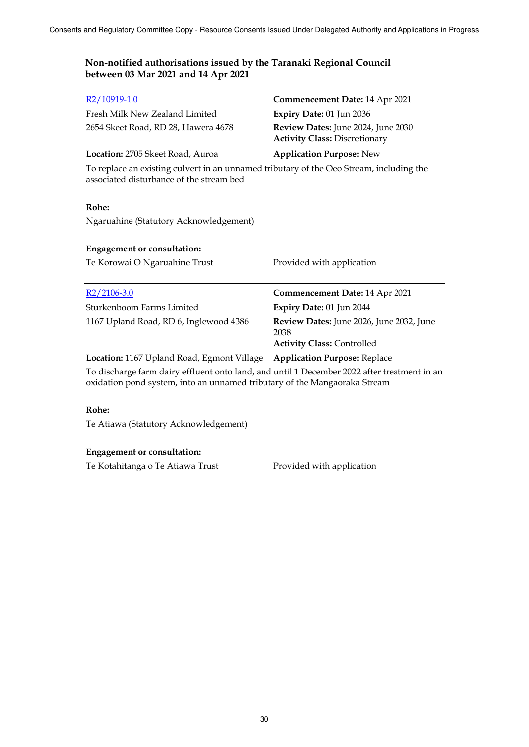| R2/10919-1.0                                                                                                                                                             | Commencement Date: 14 Apr 2021                                             |  |  |
|--------------------------------------------------------------------------------------------------------------------------------------------------------------------------|----------------------------------------------------------------------------|--|--|
| Fresh Milk New Zealand Limited                                                                                                                                           | Expiry Date: 01 Jun 2036                                                   |  |  |
| 2654 Skeet Road, RD 28, Hawera 4678                                                                                                                                      | Review Dates: June 2024, June 2030<br><b>Activity Class: Discretionary</b> |  |  |
| Location: 2705 Skeet Road, Auroa                                                                                                                                         | <b>Application Purpose: New</b>                                            |  |  |
| To replace an existing culvert in an unnamed tributary of the Oeo Stream, including the<br>associated disturbance of the stream bed                                      |                                                                            |  |  |
| Rohe:                                                                                                                                                                    |                                                                            |  |  |
| Ngaruahine (Statutory Acknowledgement)                                                                                                                                   |                                                                            |  |  |
| <b>Engagement or consultation:</b>                                                                                                                                       |                                                                            |  |  |
| Te Korowai O Ngaruahine Trust                                                                                                                                            | Provided with application                                                  |  |  |
|                                                                                                                                                                          |                                                                            |  |  |
| $R2/2106-3.0$                                                                                                                                                            | <b>Commencement Date: 14 Apr 2021</b>                                      |  |  |
| Sturkenboom Farms Limited                                                                                                                                                | Expiry Date: 01 Jun 2044                                                   |  |  |
| 1167 Upland Road, RD 6, Inglewood 4386                                                                                                                                   | Review Dates: June 2026, June 2032, June<br>2038                           |  |  |
|                                                                                                                                                                          | <b>Activity Class: Controlled</b>                                          |  |  |
| Location: 1167 Upland Road, Egmont Village Application Purpose: Replace                                                                                                  |                                                                            |  |  |
| To discharge farm dairy effluent onto land, and until 1 December 2022 after treatment in an<br>oxidation pond system, into an unnamed tributary of the Mangaoraka Stream |                                                                            |  |  |
| Rohe:                                                                                                                                                                    |                                                                            |  |  |
| Te Atiawa (Statutory Acknowledgement)                                                                                                                                    |                                                                            |  |  |

## **Engagement or consultation:**

Te Kotahitanga o Te Atiawa Trust Provided with application